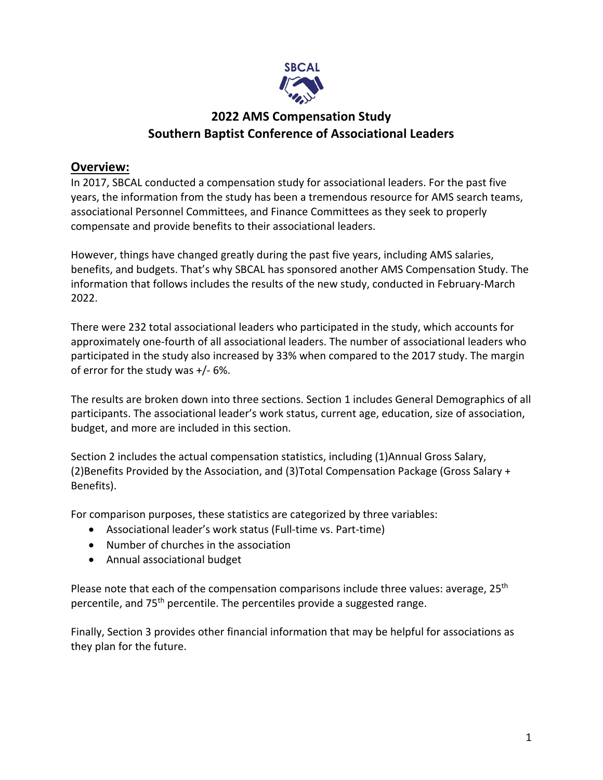

# **2022 AMS Compensation Study Southern Baptist Conference of Associational Leaders**

# **Overview:**

In 2017, SBCAL conducted a compensation study for associational leaders. For the past five years, the information from the study has been a tremendous resource for AMS search teams, associational Personnel Committees, and Finance Committees as they seek to properly compensate and provide benefits to their associational leaders.

However, things have changed greatly during the past five years, including AMS salaries, benefits, and budgets. That's why SBCAL has sponsored another AMS Compensation Study. The information that follows includes the results of the new study, conducted in February-March 2022.

There were 232 total associational leaders who participated in the study, which accounts for approximately one-fourth of all associational leaders. The number of associational leaders who participated in the study also increased by 33% when compared to the 2017 study. The margin of error for the study was +/- 6%.

The results are broken down into three sections. Section 1 includes General Demographics of all participants. The associational leader's work status, current age, education, size of association, budget, and more are included in this section.

Section 2 includes the actual compensation statistics, including (1)Annual Gross Salary, (2)Benefits Provided by the Association, and (3)Total Compensation Package (Gross Salary + Benefits).

For comparison purposes, these statistics are categorized by three variables:

- Associational leader's work status (Full-time vs. Part-time)
- Number of churches in the association
- Annual associational budget

Please note that each of the compensation comparisons include three values: average, 25<sup>th</sup> percentile, and 75<sup>th</sup> percentile. The percentiles provide a suggested range.

Finally, Section 3 provides other financial information that may be helpful for associations as they plan for the future.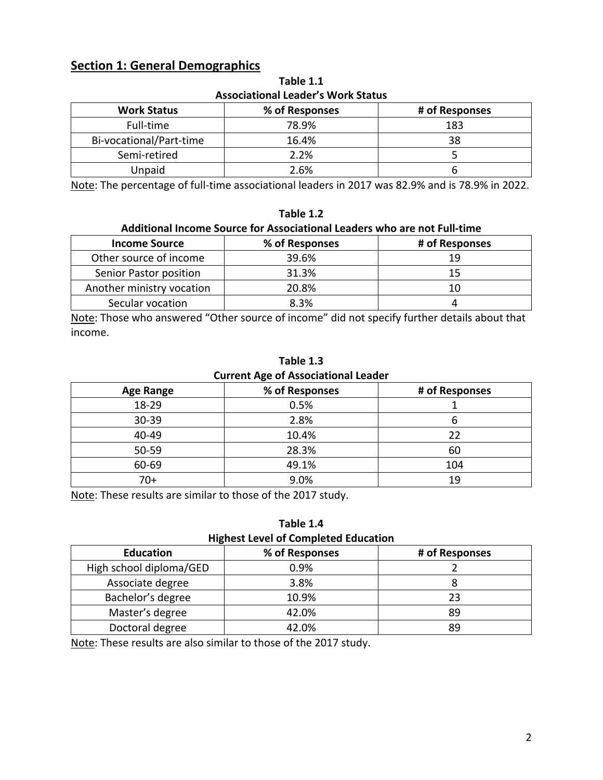# **Section 1: General Demographics**

| <b>Work Status</b><br>% of Responses<br># of Responses |       |     |  |  |  |
|--------------------------------------------------------|-------|-----|--|--|--|
| Full-time                                              | 78.9% | 183 |  |  |  |
| Bi-vocational/Part-time                                | 16.4% | 38  |  |  |  |
| Semi-retired                                           | 2.2%  |     |  |  |  |
| Unpaid                                                 | 2.6%  |     |  |  |  |

**Table 1.1 Associational Leader's Work Status**

Note: The percentage of full-time associational leaders in 2017 was 82.9% and is 78.9% in 2022.

#### **Table 1.2**

### **Additional Income Source for Associational Leaders who are not Full-time**

| <b>Income Source</b>      | % of Responses | # of Responses |
|---------------------------|----------------|----------------|
| Other source of income    | 39.6%          | 19             |
| Senior Pastor position    | 31.3%          | 15             |
| Another ministry vocation | 20.8%          | 10             |
| Secular vocation          | 8.3%           |                |

Note: Those who answered "Other source of income" did not specify further details about that income.

| Table 1.3                                  |  |
|--------------------------------------------|--|
| <b>Current Age of Associational Leader</b> |  |

| <b>Age Range</b> | % of Responses | # of Responses |
|------------------|----------------|----------------|
| 18-29            | 0.5%           |                |
| 30-39            | 2.8%           | ס              |
| 40-49            | 10.4%          | 22             |
| 50-59            | 28.3%          | 60             |
| 60-69            | 49.1%          | 104            |
| 70+              | 9.0%           | 19             |

Note: These results are similar to those of the 2017 study.

### **Table 1.4**

**Highest Level of Completed Education**

| <b>Education</b>        | % of Responses | # of Responses |
|-------------------------|----------------|----------------|
| High school diploma/GED | 0.9%           |                |
| Associate degree        | 3.8%           |                |
| Bachelor's degree       | 10.9%          | 23             |
| Master's degree         | 42.0%          | 89             |
| Doctoral degree         | 42.0%          | 89             |

Note: These results are also similar to those of the 2017 study.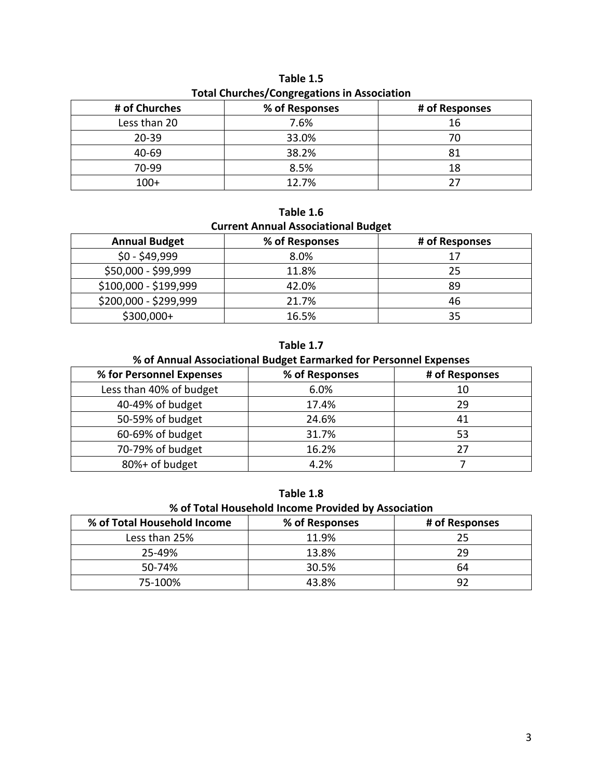| <b>TOtal Churches/Congregations in Association</b> |                |                |  |
|----------------------------------------------------|----------------|----------------|--|
| # of Churches                                      | % of Responses | # of Responses |  |
| Less than 20                                       | 7.6%           | 16             |  |
| $20 - 39$                                          | 33.0%          | 70             |  |
| 40-69                                              | 38.2%          | 81             |  |
| 70-99                                              | 8.5%           | 18             |  |
| $100+$                                             | 12.7%          | 27             |  |

**Table 1.5 Total Churches/Congregations in Association**

# **Table 1.6 Current Annual Associational Budget**

| <b>Annual Budget</b>  | % of Responses | # of Responses |
|-----------------------|----------------|----------------|
| $$0 - $49,999$        | 8.0%           | 17             |
| \$50,000 - \$99,999   | 11.8%          | 25             |
| \$100,000 - \$199,999 | 42.0%          | 89             |
| \$200,000 - \$299,999 | 21.7%          | 46             |
| $$300,000+$           | 16.5%          | 35             |

**Table 1.7**

# **% of Annual Associational Budget Earmarked for Personnel Expenses**

| % for Personnel Expenses | % of Responses | # of Responses |
|--------------------------|----------------|----------------|
| Less than 40% of budget  | 6.0%           | 10             |
| 40-49% of budget         | 17.4%          | 29             |
| 50-59% of budget         | 24.6%          | 41             |
| 60-69% of budget         | 31.7%          | 53             |
| 70-79% of budget         | 16.2%          | 27             |
| 80%+ of budget           | 4.2%           |                |

| Table 1.8 |
|-----------|
|-----------|

**% of Total Household Income Provided by Association**

| % of Total Household Income | % of Responses | # of Responses |
|-----------------------------|----------------|----------------|
| Less than 25%               | 11.9%          | 25             |
| 25-49%                      | 13.8%          | 29             |
| $50 - 74%$                  | 30.5%          | 64             |
| 75-100%                     | 43.8%          | ดว             |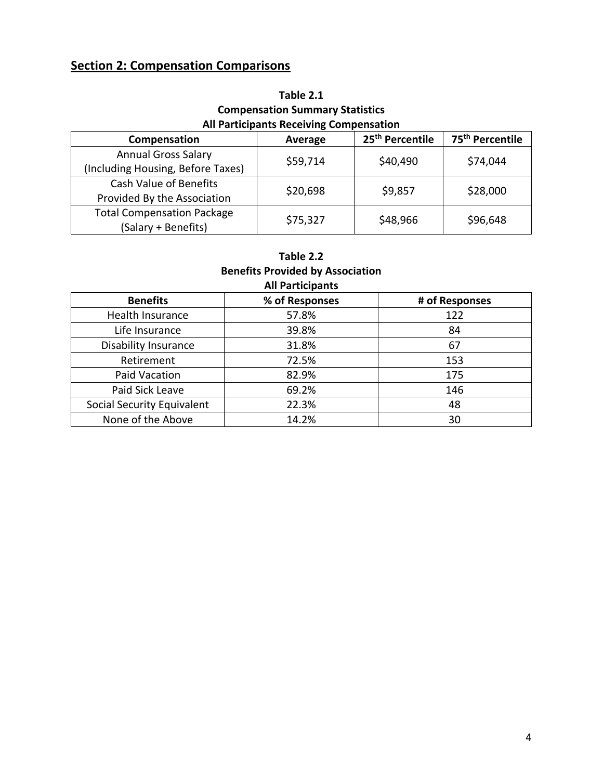# **Section 2: Compensation Comparisons**

| Table 2.1                                      |
|------------------------------------------------|
| <b>Compensation Summary Statistics</b>         |
| <b>All Participants Receiving Compensation</b> |

| Compensation                      | Average  | 25 <sup>th</sup> Percentile | 75 <sup>th</sup> Percentile |
|-----------------------------------|----------|-----------------------------|-----------------------------|
| <b>Annual Gross Salary</b>        | \$59,714 | \$40,490                    | \$74,044                    |
| (Including Housing, Before Taxes) |          |                             |                             |
| Cash Value of Benefits            |          | \$9,857                     |                             |
| Provided By the Association       | \$20,698 |                             | \$28,000                    |
| <b>Total Compensation Package</b> |          |                             |                             |
| (Salary + Benefits)               | \$75,327 | \$48,966                    | \$96,648                    |

## **Table 2.2 Benefits Provided by Association All Participants**

| <b>Benefits</b>             | % of Responses | # of Responses |
|-----------------------------|----------------|----------------|
| Health Insurance            | 57.8%          | 122            |
| Life Insurance              | 39.8%          | 84             |
| <b>Disability Insurance</b> | 31.8%          | 67             |
| Retirement                  | 72.5%          | 153            |
| Paid Vacation               | 82.9%          | 175            |
| Paid Sick Leave             | 69.2%          | 146            |
| Social Security Equivalent  | 22.3%          | 48             |
| None of the Above           | 14.2%          | 30             |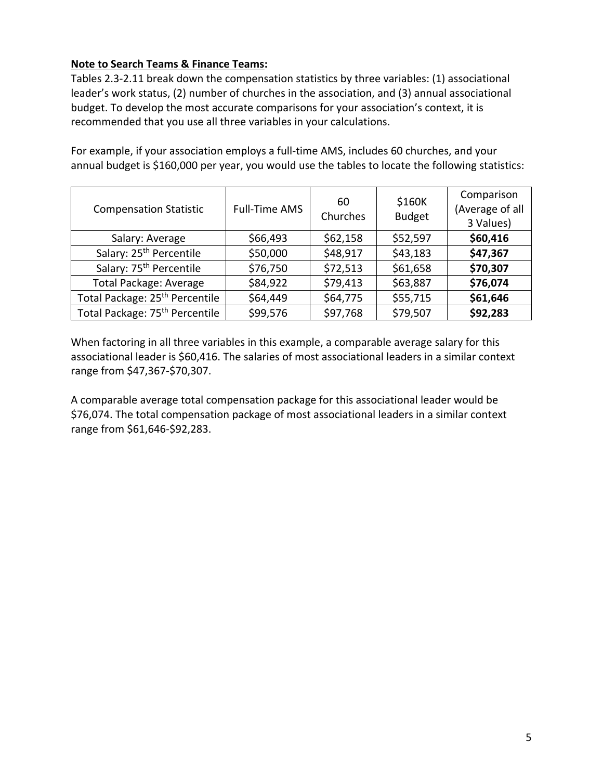## **Note to Search Teams & Finance Teams:**

Tables 2.3-2.11 break down the compensation statistics by three variables: (1) associational leader's work status, (2) number of churches in the association, and (3) annual associational budget. To develop the most accurate comparisons for your association's context, it is recommended that you use all three variables in your calculations.

For example, if your association employs a full-time AMS, includes 60 churches, and your annual budget is \$160,000 per year, you would use the tables to locate the following statistics:

| <b>Compensation Statistic</b>              | <b>Full-Time AMS</b> | 60<br>Churches | \$160K<br><b>Budget</b> | Comparison<br>(Average of all<br>3 Values) |
|--------------------------------------------|----------------------|----------------|-------------------------|--------------------------------------------|
| Salary: Average                            | \$66,493             | \$62,158       | \$52,597                | \$60,416                                   |
| Salary: 25 <sup>th</sup> Percentile        | \$50,000             | \$48,917       | \$43,183                | \$47,367                                   |
| Salary: 75 <sup>th</sup> Percentile        | \$76,750             | \$72,513       | \$61,658                | \$70,307                                   |
| <b>Total Package: Average</b>              | \$84,922             | \$79,413       | \$63,887                | \$76,074                                   |
| Total Package: 25 <sup>th</sup> Percentile | \$64,449             | \$64,775       | \$55,715                | \$61,646                                   |
| Total Package: 75 <sup>th</sup> Percentile | \$99,576             | \$97,768       | \$79,507                | \$92,283                                   |

When factoring in all three variables in this example, a comparable average salary for this associational leader is \$60,416. The salaries of most associational leaders in a similar context range from \$47,367-\$70,307.

A comparable average total compensation package for this associational leader would be \$76,074. The total compensation package of most associational leaders in a similar context range from \$61,646-\$92,283.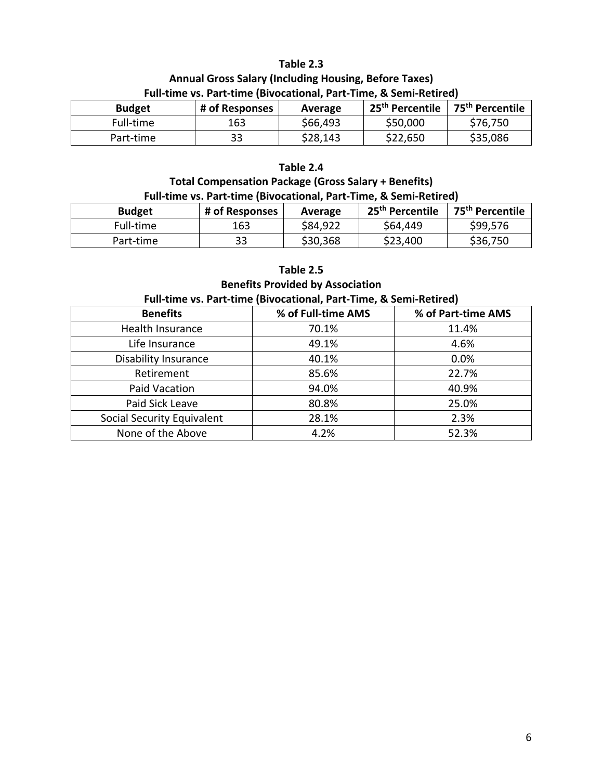## **Table 2.3 Annual Gross Salary (Including Housing, Before Taxes) Full-time vs. Part-time (Bivocational, Part-Time, & Semi-Retired)**

| <b>Budget</b> | # of Responses | Average  | 25 <sup>th</sup> Percentile | 75 <sup>th</sup> Percentile |
|---------------|----------------|----------|-----------------------------|-----------------------------|
| Full-time     | 163            | \$66,493 | \$50,000                    | \$76,750                    |
| Part-time     | 33             | \$28,143 | \$22,650                    | \$35,086                    |

#### **Table 2.4**

# **Total Compensation Package (Gross Salary + Benefits) Full-time vs. Part-time (Bivocational, Part-Time, & Semi-Retired)**

| <b>Budget</b> | # of Responses | Average  | 25 <sup>th</sup> Percentile | 75 <sup>th</sup> Percentile |
|---------------|----------------|----------|-----------------------------|-----------------------------|
| Full-time     | 163            | \$84,922 | \$64,449                    | \$99,576                    |
| Part-time     | 33             | \$30,368 | \$23,400                    | \$36,750                    |

#### **Table 2.5**

#### **Benefits Provided by Association**

#### **Full-time vs. Part-time (Bivocational, Part-Time, & Semi-Retired)**

| <b>Benefits</b>                   | % of Full-time AMS | % of Part-time AMS |
|-----------------------------------|--------------------|--------------------|
| Health Insurance                  | 70.1%              | 11.4%              |
| Life Insurance                    | 49.1%              | 4.6%               |
| <b>Disability Insurance</b>       | 40.1%              | 0.0%               |
| Retirement                        | 85.6%              | 22.7%              |
| Paid Vacation                     | 94.0%              | 40.9%              |
| Paid Sick Leave                   | 80.8%              | 25.0%              |
| <b>Social Security Equivalent</b> | 28.1%              | 2.3%               |
| None of the Above                 | 4.2%               | 52.3%              |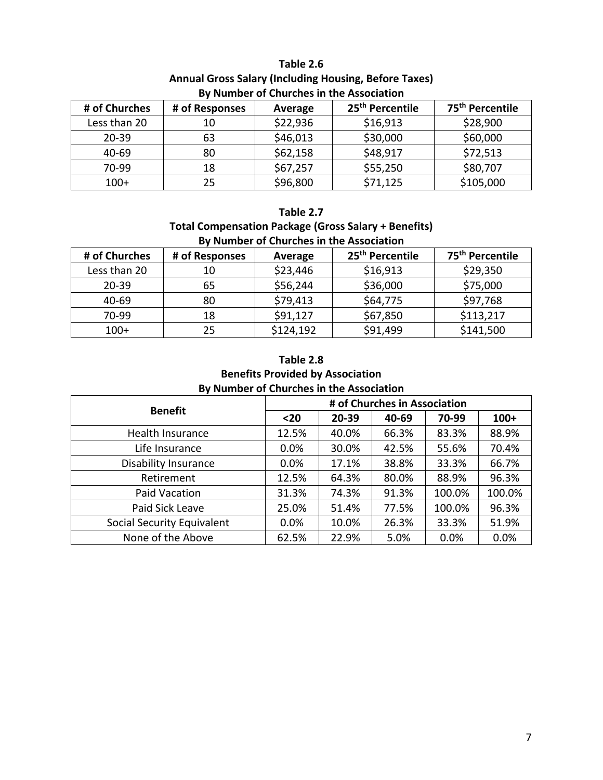| By Number of Churches in the Association |                                                          |          |          |           |  |  |
|------------------------------------------|----------------------------------------------------------|----------|----------|-----------|--|--|
| # of Churches                            | 25 <sup>th</sup> Percentile<br># of Responses<br>Average |          |          |           |  |  |
| Less than 20                             | 10                                                       | \$22,936 | \$16,913 | \$28,900  |  |  |
| $20 - 39$                                | 63                                                       | \$46,013 | \$30,000 | \$60,000  |  |  |
| 40-69                                    | 80                                                       | \$62,158 | \$48,917 | \$72,513  |  |  |
| 70-99                                    | 18                                                       | \$67,257 | \$55,250 | \$80,707  |  |  |
| $100+$                                   | 25                                                       | \$96,800 | \$71,125 | \$105,000 |  |  |

# **Table 2.6 Annual Gross Salary (Including Housing, Before Taxes) By Number of Churches in the Association**

## **Table 2.7**

## **Total Compensation Package (Gross Salary + Benefits) By Number of Churches in the Association**

| # of Churches | # of Responses | Average   | 25 <sup>th</sup> Percentile | 75 <sup>th</sup> Percentile |
|---------------|----------------|-----------|-----------------------------|-----------------------------|
| Less than 20  | 10             | \$23,446  | \$16,913                    | \$29,350                    |
| $20 - 39$     | 65             | \$56,244  | \$36,000                    | \$75,000                    |
| 40-69         | 80             | \$79,413  | \$64,775                    | \$97,768                    |
| 70-99         | 18             | \$91,127  | \$67,850                    | \$113,217                   |
| $100+$        | 25             | \$124,192 | \$91,499                    | \$141,500                   |

# **Table 2.8**

### **Benefits Provided by Association By Number of Churches in the Association**

| . .<br><b>Benefit</b>       | # of Churches in Association |       |       |        |        |  |
|-----------------------------|------------------------------|-------|-------|--------|--------|--|
|                             | $20$                         | 20-39 | 40-69 | 70-99  | $100+$ |  |
| <b>Health Insurance</b>     | 12.5%                        | 40.0% | 66.3% | 83.3%  | 88.9%  |  |
| Life Insurance              | 0.0%                         | 30.0% | 42.5% | 55.6%  | 70.4%  |  |
| <b>Disability Insurance</b> | 0.0%                         | 17.1% | 38.8% | 33.3%  | 66.7%  |  |
| Retirement                  | 12.5%                        | 64.3% | 80.0% | 88.9%  | 96.3%  |  |
| Paid Vacation               | 31.3%                        | 74.3% | 91.3% | 100.0% | 100.0% |  |
| Paid Sick Leave             | 25.0%                        | 51.4% | 77.5% | 100.0% | 96.3%  |  |
| Social Security Equivalent  | 0.0%                         | 10.0% | 26.3% | 33.3%  | 51.9%  |  |
| None of the Above           | 62.5%                        | 22.9% | 5.0%  | 0.0%   | 0.0%   |  |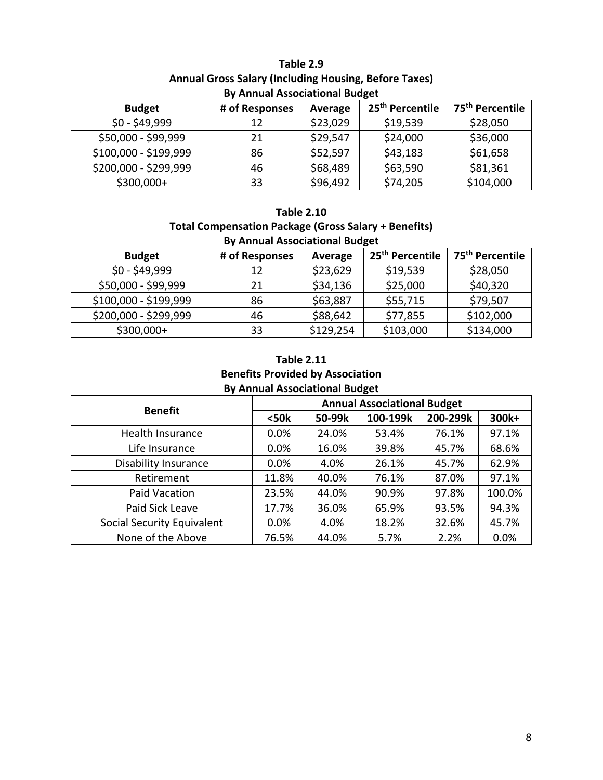## **Table 2.9 Annual Gross Salary (Including Housing, Before Taxes) By Annual Associational Budget**

| <b>Budget</b>         | # of Responses | Average  | 25 <sup>th</sup> Percentile | 75 <sup>th</sup> Percentile |  |
|-----------------------|----------------|----------|-----------------------------|-----------------------------|--|
| $$0 - $49,999$        | 12             | \$23,029 | \$19,539                    | \$28,050                    |  |
| \$50,000 - \$99,999   | 21             | \$29,547 | \$24,000                    | \$36,000                    |  |
| \$100,000 - \$199,999 | 86             | \$52,597 | \$43,183                    | \$61,658                    |  |
| \$200,000 - \$299,999 | 46             | \$68,489 | \$63,590                    | \$81,361                    |  |
| $$300,000+$           | 33             | \$96,492 | \$74,205                    | \$104,000                   |  |

## **Table 2.10**

### **Total Compensation Package (Gross Salary + Benefits) By Annual Associational Budget**

| <b>Budget</b>         | # of Responses | Average   | 25 <sup>th</sup> Percentile | 75 <sup>th</sup> Percentile |
|-----------------------|----------------|-----------|-----------------------------|-----------------------------|
| $$0 - $49,999$        | 12             | \$23,629  | \$19,539                    | \$28,050                    |
| \$50,000 - \$99,999   | 21             | \$34,136  | \$25,000                    | \$40,320                    |
| \$100,000 - \$199,999 | 86             | \$63,887  | \$55,715                    | \$79,507                    |
| \$200,000 - \$299,999 | 46             | \$88,642  | \$77,855                    | \$102,000                   |
| $$300,000+$           | 33             | \$129,254 | \$103,000                   | \$134,000                   |

## **Table 2.11 Benefits Provided by Association By Annual Associational Budget**

| $\mathbf{r}$<br><b>Benefit</b> | <b>Annual Associational Budget</b> |        |          |          |        |  |
|--------------------------------|------------------------------------|--------|----------|----------|--------|--|
|                                | $50k$                              | 50-99k | 100-199k | 200-299k | 300k+  |  |
| Health Insurance               | 0.0%                               | 24.0%  | 53.4%    | 76.1%    | 97.1%  |  |
| Life Insurance                 | 0.0%                               | 16.0%  | 39.8%    | 45.7%    | 68.6%  |  |
| <b>Disability Insurance</b>    | 0.0%                               | 4.0%   | 26.1%    | 45.7%    | 62.9%  |  |
| Retirement                     | 11.8%                              | 40.0%  | 76.1%    | 87.0%    | 97.1%  |  |
| Paid Vacation                  | 23.5%                              | 44.0%  | 90.9%    | 97.8%    | 100.0% |  |
| Paid Sick Leave                | 17.7%                              | 36.0%  | 65.9%    | 93.5%    | 94.3%  |  |
| Social Security Equivalent     | 0.0%                               | 4.0%   | 18.2%    | 32.6%    | 45.7%  |  |
| None of the Above              | 76.5%                              | 44.0%  | 5.7%     | 2.2%     | 0.0%   |  |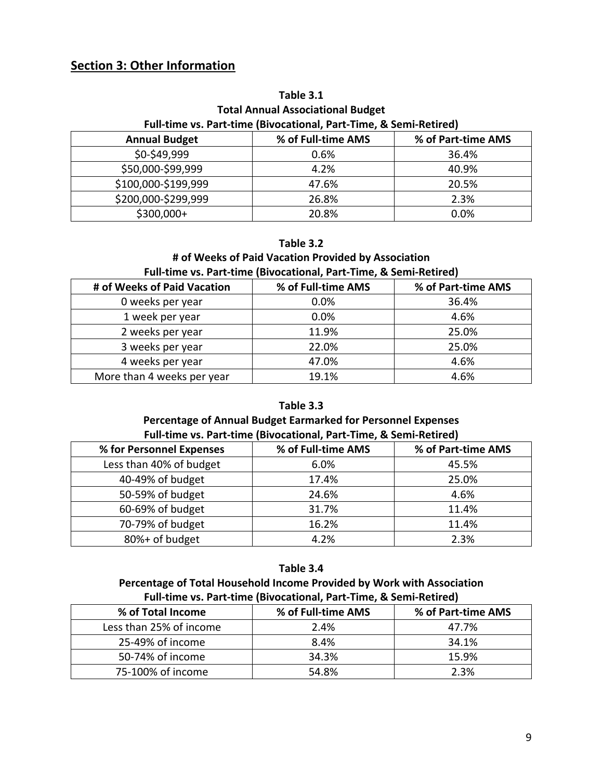# **Section 3: Other Information**

# **Table 3.1**

## **Total Annual Associational Budget Full-time vs. Part-time (Bivocational, Part-Time, & Semi-Retired)**

| <b>Annual Budget</b> | % of Full-time AMS | % of Part-time AMS |
|----------------------|--------------------|--------------------|
| \$0-\$49,999         | $0.6\%$            | 36.4%              |
| \$50,000-\$99,999    | 4.2%               | 40.9%              |
| \$100,000-\$199,999  | 47.6%              | 20.5%              |
| \$200,000-\$299,999  | 26.8%              | 2.3%               |
| $$300,000+$          | 20.8%              | 0.0%               |

#### **Table 3.2**

### **# of Weeks of Paid Vacation Provided by Association Full-time vs. Part-time (Bivocational, Part-Time, & Semi-Retired)**

| # of Weeks of Paid Vacation | % of Full-time AMS | % of Part-time AMS |
|-----------------------------|--------------------|--------------------|
| 0 weeks per year            | 0.0%               | 36.4%              |
| 1 week per year             | 0.0%               | 4.6%               |
| 2 weeks per year            | 11.9%              | 25.0%              |
| 3 weeks per year            | 22.0%              | 25.0%              |
| 4 weeks per year            | 47.0%              | 4.6%               |
| More than 4 weeks per year  | 19.1%              | 4.6%               |

## **Table 3.3**

# **Percentage of Annual Budget Earmarked for Personnel Expenses**

| % for Personnel Expenses | % of Full-time AMS | % of Part-time AMS |
|--------------------------|--------------------|--------------------|
| Less than 40% of budget  | 6.0%               | 45.5%              |
| 40-49% of budget         | 17.4%              | 25.0%              |
| 50-59% of budget         | 24.6%              | 4.6%               |
| 60-69% of budget         | 31.7%              | 11.4%              |
| 70-79% of budget         | 16.2%              | 11.4%              |
| 80%+ of budget           | 4.2%               | 2.3%               |

#### **Table 3.4**

#### **Percentage of Total Household Income Provided by Work with Association Full-time vs. Part-time (Bivocational, Part-Time, & Semi-Retired)**

| % of Total Income       | % of Full-time AMS | % of Part-time AMS |  |  |  |  |  |
|-------------------------|--------------------|--------------------|--|--|--|--|--|
| Less than 25% of income | 2.4%               | 47.7%              |  |  |  |  |  |
| 25-49% of income        | 8.4%               | 34.1%              |  |  |  |  |  |
| 50-74% of income        | 34.3%              | 15.9%              |  |  |  |  |  |
| 75-100% of income       | 54.8%              | 2.3%               |  |  |  |  |  |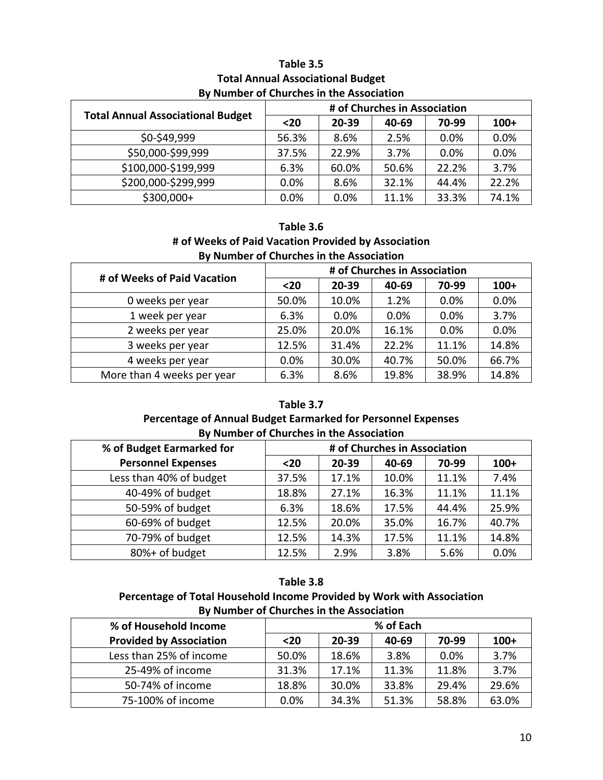## **Table 3.5 Total Annual Associational Budget By Number of Churches in the Association**

| <b>Total Annual Associational Budget</b> | # of Churches in Association |       |       |       |        |  |
|------------------------------------------|------------------------------|-------|-------|-------|--------|--|
|                                          | $20$                         | 20-39 | 40-69 | 70-99 | $100+$ |  |
| \$0-\$49,999                             | 56.3%                        | 8.6%  | 2.5%  | 0.0%  | 0.0%   |  |
| \$50,000-\$99,999                        | 37.5%                        | 22.9% | 3.7%  | 0.0%  | 0.0%   |  |
| \$100,000-\$199,999                      | 6.3%                         | 60.0% | 50.6% | 22.2% | 3.7%   |  |
| \$200,000-\$299,999                      | 0.0%                         | 8.6%  | 32.1% | 44.4% | 22.2%  |  |
| \$300,000+                               | 0.0%                         | 0.0%  | 11.1% | 33.3% | 74.1%  |  |

**Table 3.6 # of Weeks of Paid Vacation Provided by Association By Number of Churches in the Association**

| # of Weeks of Paid Vacation | # of Churches in Association |       |       |       |        |  |
|-----------------------------|------------------------------|-------|-------|-------|--------|--|
|                             | $20$                         | 20-39 | 40-69 | 70-99 | $100+$ |  |
| 0 weeks per year            | 50.0%                        | 10.0% | 1.2%  | 0.0%  | 0.0%   |  |
| 1 week per year             | 6.3%                         | 0.0%  | 0.0%  | 0.0%  | 3.7%   |  |
| 2 weeks per year            | 25.0%                        | 20.0% | 16.1% | 0.0%  | 0.0%   |  |
| 3 weeks per year            | 12.5%                        | 31.4% | 22.2% | 11.1% | 14.8%  |  |
| 4 weeks per year            | 0.0%                         | 30.0% | 40.7% | 50.0% | 66.7%  |  |
| More than 4 weeks per year  | 6.3%                         | 8.6%  | 19.8% | 38.9% | 14.8%  |  |

### **Table 3.7 Percentage of Annual Budget Earmarked for Personnel Expenses By Number of Churches in the Association**

| % of Budget Earmarked for | # of Churches in Association |       |       |       |        |
|---------------------------|------------------------------|-------|-------|-------|--------|
| <b>Personnel Expenses</b> | $20$                         | 20-39 | 40-69 | 70-99 | $100+$ |
| Less than 40% of budget   | 37.5%                        | 17.1% | 10.0% | 11.1% | 7.4%   |
| 40-49% of budget          | 18.8%                        | 27.1% | 16.3% | 11.1% | 11.1%  |
| 50-59% of budget          | 6.3%                         | 18.6% | 17.5% | 44.4% | 25.9%  |
| 60-69% of budget          | 12.5%                        | 20.0% | 35.0% | 16.7% | 40.7%  |
| 70-79% of budget          | 12.5%                        | 14.3% | 17.5% | 11.1% | 14.8%  |
| 80%+ of budget            | 12.5%                        | 2.9%  | 3.8%  | 5.6%  | 0.0%   |

# **Table 3.8**

**Percentage of Total Household Income Provided by Work with Association By Number of Churches in the Association**

| % of Household Income          | % of Each |       |       |       |        |
|--------------------------------|-----------|-------|-------|-------|--------|
| <b>Provided by Association</b> | $20$      | 20-39 | 40-69 | 70-99 | $100+$ |
| Less than 25% of income        | 50.0%     | 18.6% | 3.8%  | 0.0%  | 3.7%   |
| 25-49% of income               | 31.3%     | 17.1% | 11.3% | 11.8% | 3.7%   |
| 50-74% of income               | 18.8%     | 30.0% | 33.8% | 29.4% | 29.6%  |
| 75-100% of income              | 0.0%      | 34.3% | 51.3% | 58.8% | 63.0%  |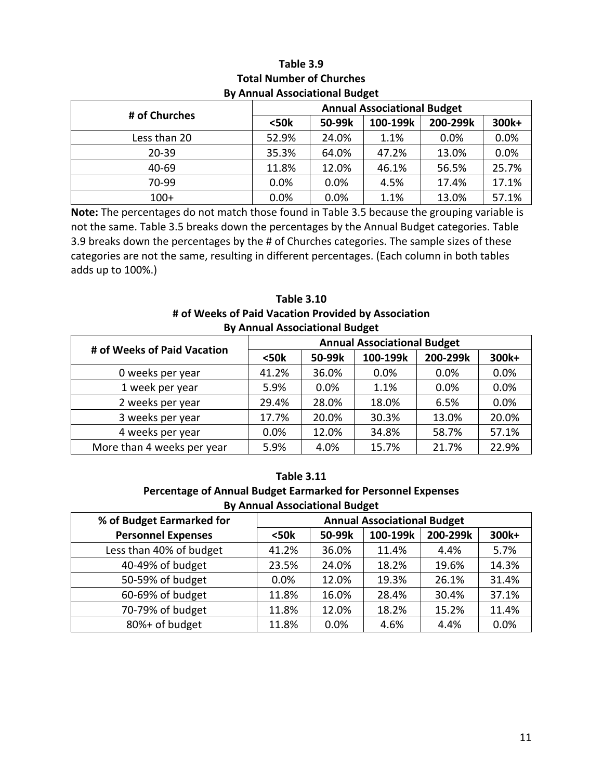|               | <b>Annual Associational Budget</b> |        |          |          |       |
|---------------|------------------------------------|--------|----------|----------|-------|
| # of Churches | $50k$                              | 50-99k | 100-199k | 200-299k | 300k+ |
| Less than 20  | 52.9%                              | 24.0%  | 1.1%     | 0.0%     | 0.0%  |
| $20 - 39$     | 35.3%                              | 64.0%  | 47.2%    | 13.0%    | 0.0%  |
| 40-69         | 11.8%                              | 12.0%  | 46.1%    | 56.5%    | 25.7% |
| 70-99         | 0.0%                               | 0.0%   | 4.5%     | 17.4%    | 17.1% |
| $100+$        | 0.0%                               | 0.0%   | 1.1%     | 13.0%    | 57.1% |

## **Table 3.9 Total Number of Churches By Annual Associational Budget**

**Note:** The percentages do not match those found in Table 3.5 because the grouping variable is not the same. Table 3.5 breaks down the percentages by the Annual Budget categories. Table 3.9 breaks down the percentages by the # of Churches categories. The sample sizes of these categories are not the same, resulting in different percentages. (Each column in both tables adds up to 100%.)

## **Table 3.10 # of Weeks of Paid Vacation Provided by Association By Annual Associational Budget**

| # of Weeks of Paid Vacation | <b>Annual Associational Budget</b> |        |          |          |       |  |  |
|-----------------------------|------------------------------------|--------|----------|----------|-------|--|--|
|                             | $50k$                              | 50-99k | 100-199k | 200-299k | 300k+ |  |  |
| 0 weeks per year            | 41.2%                              | 36.0%  | $0.0\%$  | 0.0%     | 0.0%  |  |  |
| 1 week per year             | 5.9%                               | 0.0%   | 1.1%     | 0.0%     | 0.0%  |  |  |
| 2 weeks per year            | 29.4%                              | 28.0%  | 18.0%    | 6.5%     | 0.0%  |  |  |
| 3 weeks per year            | 17.7%                              | 20.0%  | 30.3%    | 13.0%    | 20.0% |  |  |
| 4 weeks per year            | 0.0%                               | 12.0%  | 34.8%    | 58.7%    | 57.1% |  |  |
| More than 4 weeks per year  | 5.9%                               | 4.0%   | 15.7%    | 21.7%    | 22.9% |  |  |

# **Table 3.11**

## **Percentage of Annual Budget Earmarked for Personnel Expenses By Annual Associational Budget**

| % of Budget Earmarked for | <b>Annual Associational Budget</b> |         |          |          |       |
|---------------------------|------------------------------------|---------|----------|----------|-------|
| <b>Personnel Expenses</b> | $50k$                              | 50-99k  | 100-199k | 200-299k | 300k+ |
| Less than 40% of budget   | 41.2%                              | 36.0%   | 11.4%    | 4.4%     | 5.7%  |
| 40-49% of budget          | 23.5%                              | 24.0%   | 18.2%    | 19.6%    | 14.3% |
| 50-59% of budget          | 0.0%                               | 12.0%   | 19.3%    | 26.1%    | 31.4% |
| 60-69% of budget          | 11.8%                              | 16.0%   | 28.4%    | 30.4%    | 37.1% |
| 70-79% of budget          | 11.8%                              | 12.0%   | 18.2%    | 15.2%    | 11.4% |
| 80%+ of budget            | 11.8%                              | $0.0\%$ | 4.6%     | 4.4%     | 0.0%  |